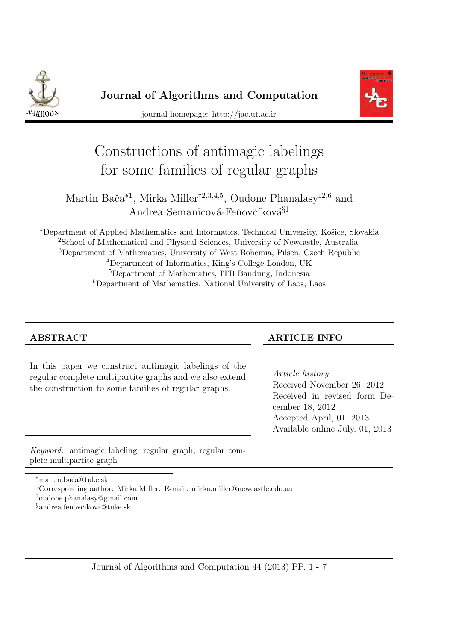



journal homepage: http://jac.ut.ac.ir

# Constructions of antimagic labelings for some families of regular graphs

## Martin Bača<sup>\*1</sup>, Mirka Miller<sup>†2,3,4,5</sup>, Oudone Phanalasy<sup>‡2,6</sup> and Andrea Semaničová-Feňovčíková<sup>§1</sup>

<sup>1</sup>Department of Applied Mathematics and Informatics, Technical University, Košice, Slovakia <sup>2</sup>School of Mathematical and Physical Sciences, University of Newcastle, Australia. Department of Mathematics, University of West Bohemia, Pilsen, Czech Republic Department of Informatics, King's College London, UK Department of Mathematics, ITB Bandung, Indonesia Department of Mathematics, National University of Laos, Laos

In this paper we construct antimagic labelings of the regular complete multipartite graphs and we also extend the construction to some families of regular graphs.

#### ABSTRACT ARTICLE INFO

*Article history:* Received November 26, 2012 Received in revised form December 18, 2012 Accepted April, 01, 2013 Available online July, 01, 2013

Keyword: antimagic labeling, regular graph, regular complete multipartite graph

<sup>∗</sup>martin.baca@tuke.sk

†Corresponding author: Mirka Miller. E-mail: mirka.miller@newcastle.edu.au

‡oudone.phanalasy@gmail.com

§andrea.fenovcikova@tuke.sk

Journal of Algorithms and Computation 44 (2013) PP. 1 - 7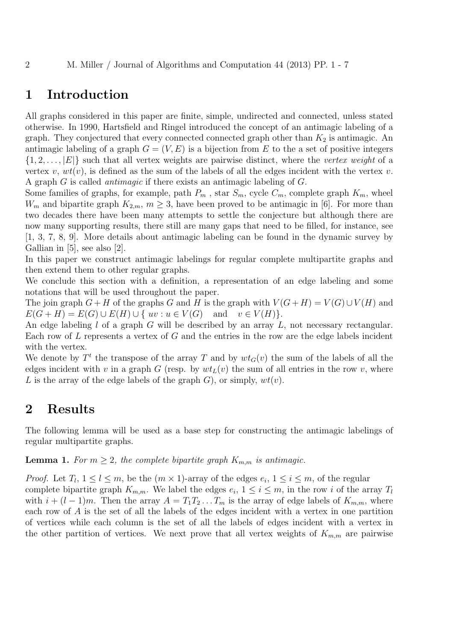#### 1 Introduction

All graphs considered in this paper are finite, simple, undirected and connected, unless stated otherwise. In 1990, Hartsfield and Ringel introduced the concept of an antimagic labeling of a graph. They conjectured that every connected connected graph other than  $K_2$  is antimagic. An antimagic labeling of a graph  $G = (V, E)$  is a bijection from E to the a set of positive integers  $\{1, 2, \ldots, |E|\}$  such that all vertex weights are pairwise distinct, where the *vertex weight* of a vertex v,  $wt(v)$ , is defined as the sum of the labels of all the edges incident with the vertex v. A graph G is called *antimagic* if there exists an antimagic labeling of G.

Some families of graphs, for example, path  $P_m$ , star  $S_m$ , cycle  $C_m$ , complete graph  $K_m$ , wheel  $W_m$  and bipartite graph  $K_{2,m}$ ,  $m \geq 3$ , have been proved to be antimagic in [6]. For more than two decades there have been many attempts to settle the conjecture but although there are now many supporting results, there still are many gaps that need to be filled, for instance, see [1, 3, 7, 8, 9]. More details about antimagic labeling can be found in the dynamic survey by Gallian in  $[5]$ , see also  $[2]$ .

In this paper we construct antimagic labelings for regular complete multipartite graphs and then extend them to other regular graphs.

We conclude this section with a definition, a representation of an edge labeling and some notations that will be used throughout the paper.

The join graph  $G + H$  of the graphs G and H is the graph with  $V(G + H) = V(G) \cup V(H)$  and  $E(G + H) = E(G) \cup E(H) \cup \{ uv : u \in V(G) \text{ and } v \in V(H) \}.$ 

An edge labeling  $l$  of a graph  $G$  will be described by an array  $L$ , not necessary rectangular. Each row of  $L$  represents a vertex of  $G$  and the entries in the row are the edge labels incident with the vertex.

We denote by  $T<sup>t</sup>$  the transpose of the array T and by  $wt_G(v)$  the sum of the labels of all the edges incident with v in a graph G (resp. by  $wt<sub>L</sub>(v)$ ) the sum of all entries in the row v, where L is the array of the edge labels of the graph G, or simply,  $wt(v)$ .

#### 2 Results

The following lemma will be used as a base step for constructing the antimagic labelings of regular multipartite graphs.

**Lemma 1.** For  $m \geq 2$ , the complete bipartite graph  $K_{m,m}$  is antimagic.

*Proof.* Let  $T_l$ ,  $1 \leq l \leq m$ , be the  $(m \times 1)$ -array of the edges  $e_i$ ,  $1 \leq i \leq m$ , of the regular complete bipartite graph  $K_{m,m}$ . We label the edges  $e_i$ ,  $1 \leq i \leq m$ , in the row i of the array  $T_l$ with  $i + (l - 1)m$ . Then the array  $A = T_1 T_2 ... T_m$  is the array of edge labels of  $K_{m,m}$ , where each row of A is the set of all the labels of the edges incident with a vertex in one partition of vertices while each column is the set of all the labels of edges incident with a vertex in the other partition of vertices. We next prove that all vertex weights of  $K_{m,m}$  are pairwise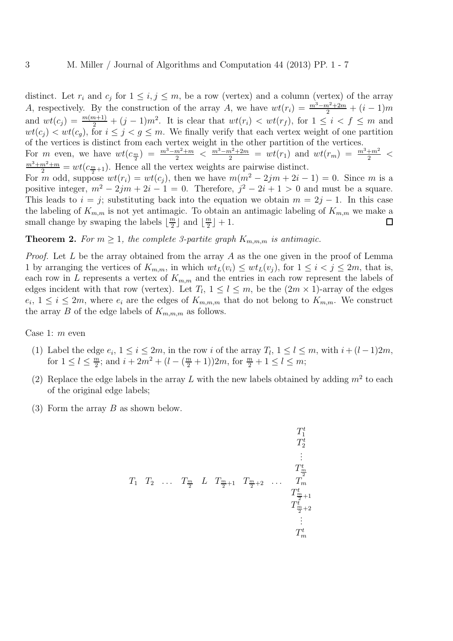distinct. Let  $r_i$  and  $c_j$  for  $1 \leq i, j \leq m$ , be a row (vertex) and a column (vertex) of the array A, respectively. By the construction of the array A, we have  $wt(r_i) = \frac{m^3 - m^2 + 2m}{2} + (i - 1)m$ and  $wt(c_j) = \frac{m(m+1)}{2} + (j-1)m^2$ . It is clear that  $wt(r_i) < wt(r_f)$ , for  $1 \leq i < f \leq m$  and  $wt(c_j) < wt(c_g)$ , for  $i \leq j < g \leq m$ . We finally verify that each vertex weight of one partition of the vertices is distinct from each vertex weight in the other partition of the vertices. For m even, we have  $wt(c_{\frac{m}{2}}) = \frac{m^3 - m^2 + m}{2} < \frac{m^3 - m^2 + 2m}{2} = wt(r_1)$  and  $wt(r_m) = \frac{m^3 + m^2}{2} <$  $\frac{m^3+m^2+m}{2}=wt(c_{\frac{m}{2}+1})$ . Hence all the vertex weights are pairwise distinct. For m odd, suppose  $wt(r_i) = wt(c_j)$ , then we have  $m(m^2 - 2jm + 2i - 1) = 0$ . Since m is a positive integer,  $m^2 - 2jm + 2i - 1 = 0$ . Therefore,  $j^2 - 2i + 1 > 0$  and must be a square. This leads to  $i = j$ ; substituting back into the equation we obtain  $m = 2j - 1$ . In this case the labeling of  $K_{m,m}$  is not yet antimagic. To obtain an antimagic labeling of  $K_{m,m}$  we make a small change by swaping the labels  $\lfloor \frac{m}{2} \rfloor$  $\frac{m}{2}$  and  $\lfloor \frac{m}{2} \rfloor$  $\frac{m}{2}$  | + 1.  $\Box$ 

**Theorem 2.** For  $m \geq 1$ , the complete 3-partite graph  $K_{m,m,m}$  is antimagic.

*Proof.* Let L be the array obtained from the array A as the one given in the proof of Lemma 1 by arranging the vertices of  $K_{m,m}$ , in which  $wt_L(v_i) \leq wt_L(v_i)$ , for  $1 \leq i < j \leq 2m$ , that is, each row in L represents a vertex of  $K_{m,m}$  and the entries in each row represent the labels of edges incident with that row (vertex). Let  $T_l$ ,  $1 \leq l \leq m$ , be the  $(2m \times 1)$ -array of the edges  $e_i, 1 \leq i \leq 2m$ , where  $e_i$  are the edges of  $K_{m,m,m}$  that do not belong to  $K_{m,m}$ . We construct the array B of the edge labels of  $K_{m,m,m}$  as follows.

Case 1: m even

- (1) Label the edge  $e_i$ ,  $1 \le i \le 2m$ , in the row i of the array  $T_l$ ,  $1 \le l \le m$ , with  $i + (l-1)2m$ , for  $1 \leq l \leq \frac{m}{2}$  $\frac{m}{2}$ ; and  $i + 2m^2 + (l - (\frac{m}{2} + 1))2m$ , for  $\frac{m}{2} + 1 \leq l \leq m$ ;
- (2) Replace the edge labels in the array L with the new labels obtained by adding  $m^2$  to each of the original edge labels;
- (3) Form the array B as shown below.

$$
T_1^t \t T_2^t \t T_1^m \t T_2^m \t T_{\frac{m}{2}}^m \t T_{\frac{m}{2}+1}^m \t T_{\frac{m}{2}+2}^m \t T_{\frac{m}{2}+1}^t \t T_{\frac{m}{2}+2}^t \t \vdots \t T_m^t
$$
\n
$$
T_m^t
$$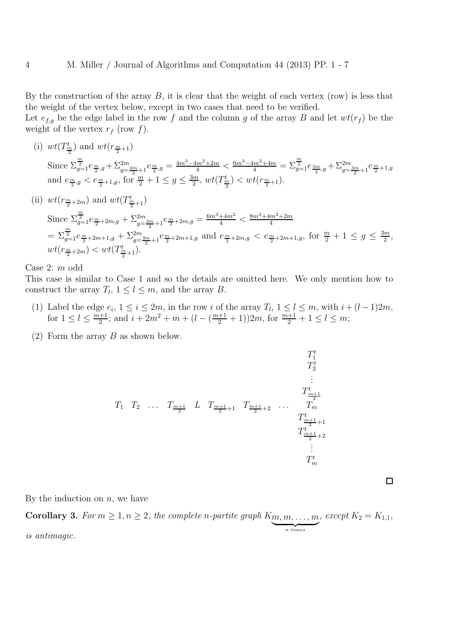By the construction of the array  $B$ , it is clear that the weight of each vertex (row) is less that the weight of the vertex below, except in two cases that need to be verified.

Let  $e_{f,g}$  be the edge label in the row f and the column g of the array B and let  $wt(r_f)$  be the weight of the vertex  $r_f$  (row f).

(i) 
$$
wt(T_{\frac{m}{2}}^{t})
$$
 and  $wt(r_{\frac{m}{2}+1})$ \nSince  $\sum_{g=1}^{\frac{m}{2}} e_{\frac{m}{2},g} + \sum_{g=\frac{3m}{2}+1}^{2m} e_{\frac{m}{2},g} = \frac{4m^3 - 4m^2 + 2m}{4} < \frac{6m^3 - 4m^2 + 4m}{4} = \sum_{g=1}^{\frac{m}{2}} e_{\frac{3m}{2},g} + \sum_{g=\frac{3m}{2}+1}^{2m} e_{\frac{m}{2}+1,g}$ \nand  $e_{\frac{m}{2},g} < e_{\frac{m}{2}+1,g}$ , for  $\frac{m}{2}+1 \leq g \leq \frac{3m}{2}$ ,  $wt(T_{\frac{m}{2}}^{t}) < wt(r_{\frac{m}{2}+1})$ .\n\n(ii)  $wt(r_{\frac{m}{2}+2m})$  and  $wt(T_{\frac{m}{2}+1}^{t})$ \nSince  $\sum_{g=1}^{\frac{m}{2}} e_{\frac{m}{2}+2m,g} + \sum_{g=\frac{3m}{2}+1}^{2m} e_{\frac{m}{2}+2m,g} = \frac{6m^3 + 4m^2}{4} < \frac{8m^3 + 4m^2 + 2m}{4}$ 

$$
= \sum_{g=1}^{\frac{m}{2}} e_{\frac{m}{2}+2m+1,g} + \sum_{g=\frac{3m}{2}+1}^{2m} e_{\frac{m}{2}+2m+1,g} \text{ and } e_{\frac{m}{2}+2m,g} < e_{\frac{m}{2}+2m+1,g}, \text{ for } \frac{m}{2}+1 \le g \le \frac{3m}{2},
$$
  

$$
wt(r_{\frac{m}{2}+2m}) < wt(T_{\frac{m}{2}+1}^t).
$$

Case 2: m odd

This case is similar to Case 1 and so the details are omitted here. We only mention how to construct the array  $T_l$ ,  $1 \leq l \leq m$ , and the array B.

- (1) Label the edge  $e_i$ ,  $1 \le i \le 2m$ , in the row i of the array  $T_l$ ,  $1 \le l \le m$ , with  $i + (l-1)2m$ , for  $1 \leq l \leq \frac{m+1}{2}$  $\frac{1}{2}$ ; and  $i + 2m^2 + m + (l - (\frac{m+1}{2} + 1))2m$ , for  $\frac{m+1}{2} + 1 \leq l \leq m$ ;
- (2) Form the array  $B$  as shown below.

$$
T_1^t \t T_2^t \t T_1^t
$$
\n
$$
T_1^t \t T_2^t \t T_{\frac{m+1}{2}}^t \t L \t T_{\frac{m+1}{2}+1} \t T_{\frac{m+1}{2}+2}^t \t \t T_{\frac{m+1}{2}+1}^t
$$
\n
$$
T_{\frac{m+1}{2}+2}^t
$$
\n
$$
\vdots
$$
\n
$$
T_m^t
$$
\n
$$
T_m^t
$$

 $\Box$ 

By the induction on  $n$ , we have

**Corollary 3.** For  $m \geq 1, n \geq 2$ , the complete *n*-partite graph  $K_{\underbrace{m,m,\ldots,m}_{n \text{ times}}}$ *, except*  $K_2 = K_{1,1}$ *, is antimagic.*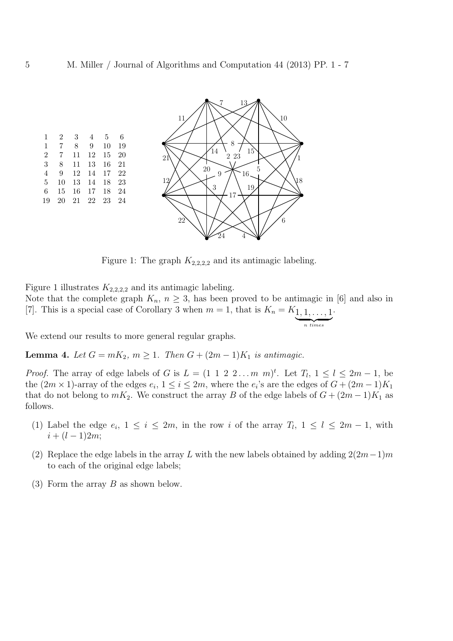



Figure 1: The graph  $K_{2,2,2,2}$  and its antimagic labeling.

Figure 1 illustrates  $K_{2,2,2,2}$  and its antimagic labeling. Note that the complete graph  $K_n$ ,  $n \geq 3$ , has been proved to be antimagic in [6] and also in [7]. This is a special case of Corollary 3 when  $m = 1$ , that is  $K_n = K_{1, 1, \ldots, 1}$  $\frac{1}{n}$  times .

We extend our results to more general regular graphs.

**Lemma 4.** *Let*  $G = mK_2$ ,  $m ≥ 1$ *. Then*  $G + (2m - 1)K_1$  *is antimagic.* 

*Proof.* The array of edge labels of G is  $L = (1 \ 1 \ 2 \ 2 \dots m \ m)^t$ . Let  $T_l$ ,  $1 \le l \le 2m - 1$ , be the  $(2m \times 1)$ -array of the edges  $e_i$ ,  $1 \le i \le 2m$ , where the  $e_i$ 's are the edges of  $G + (2m - 1)K_1$ that do not belong to  $mK_2$ . We construct the array B of the edge labels of  $G + (2m - 1)K_1$  as follows.

- (1) Label the edge  $e_i$ ,  $1 \leq i \leq 2m$ , in the row i of the array  $T_l$ ,  $1 \leq l \leq 2m-1$ , with  $i + (l - 1)2m;$
- (2) Replace the edge labels in the array L with the new labels obtained by adding  $2(2m-1)m$ to each of the original edge labels;
- (3) Form the array B as shown below.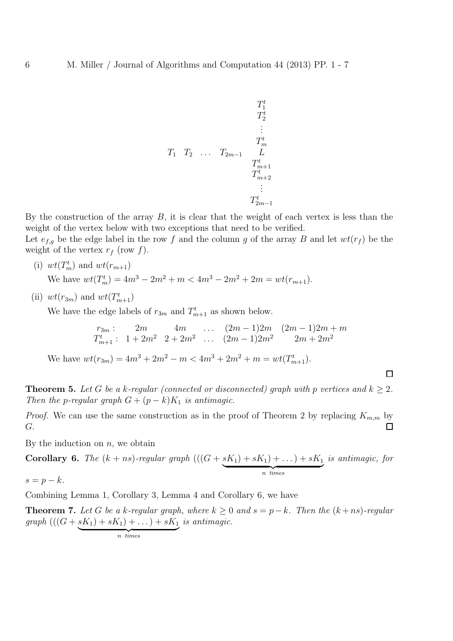$$
T_1^t \t T_2^t \t T_1^t \t T_2^t \t \t \vdots \t T_{m+1}^t \t T_{m+2}^t \t \t \vdots \t T_{2m-1}^t
$$
\n
$$
T_{2m-1}^t
$$

By the construction of the array  $B$ , it is clear that the weight of each vertex is less than the weight of the vertex below with two exceptions that need to be verified.

Let  $e_{f,g}$  be the edge label in the row f and the column g of the array B and let  $wt(r_f)$  be the weight of the vertex  $r_f$  (row f).

- (i)  $wt(T_m^t)$  and  $wt(r_{m+1})$ We have  $wt(T_m^t) = 4m^3 - 2m^2 + m < 4m^3 - 2m^2 + 2m = wt(r_{m+1}).$
- (ii)  $wt(r_{3m})$  and  $wt(T^t_{m+1})$

We have the edge labels of  $r_{3m}$  and  $T_{m+1}^t$  as shown below.

$$
r_{3m} : 2m \t 4m \t ... (2m-1)2m (2m-1)2m + m
$$
  
\n
$$
T_{m+1}^t : 1 + 2m^2 \t 2 + 2m^2 \t ... (2m-1)2m^2 \t 2m + 2m^2
$$

 $\Box$ 

We have  $wt(r_{3m}) = 4m^3 + 2m^2 - m < 4m^3 + 2m^2 + m = wt(T_{m+1}^t)$ .

**Theorem 5.** Let G be a k-regular (connected or disconnected) graph with p vertices and  $k \geq 2$ . *Then the p-regular graph*  $G + (p - k)K_1$  *is antimagic.* 

*Proof.* We can use the same construction as in the proof of Theorem 2 by replacing  $K_{m,m}$  by G.  $\Box$ 

By the induction on  $n$ , we obtain

Corollary 6. The 
$$
(k + ns)
$$
-regular graph  $((G + sK_1) + sK_1) + ... ) + sK_1$  is antimagic, for

 $s = p - k.$ 

Combining Lemma 1, Corollary 3, Lemma 4 and Corollary 6, we have

**Theorem 7.** Let G be a k-regular graph, where  $k ≥ 0$  and  $s = p - k$ . Then the  $(k + ns)$ -regular *graph*  $(((G + sK_1) + sK_1) + ...) + sK_1$  $\frac{1}{n}$  times *is antimagic.*